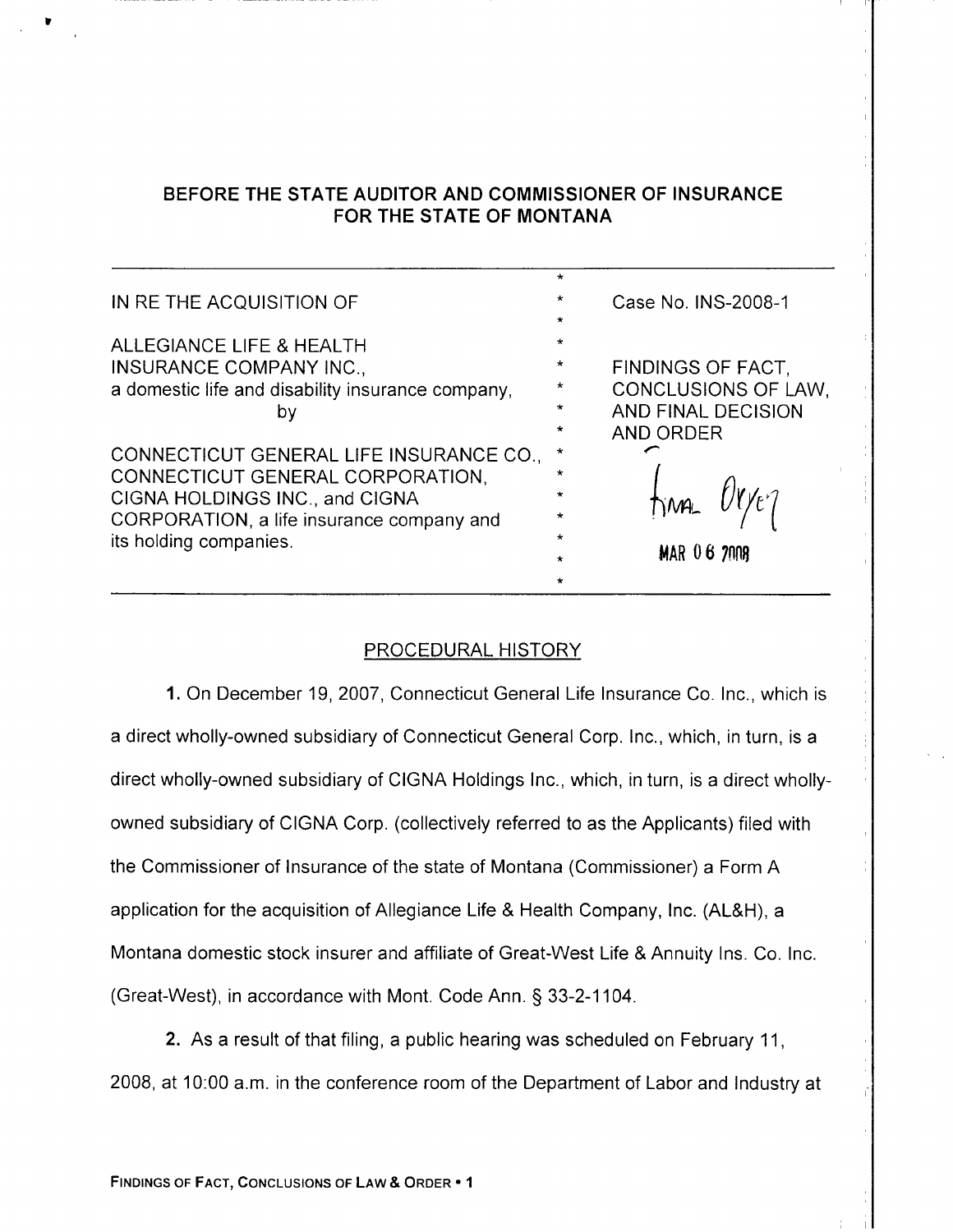# BEFORE THE STATE AUDITOR AND COMMISSIONER OF INSURANCE FOR THE STATE OF MONTANA

|                                                   | $\star$ |                     |
|---------------------------------------------------|---------|---------------------|
| IN REITHE ACQUISITION OF                          | $\star$ | Case No. INS-2008-1 |
|                                                   | $\star$ |                     |
| ALLEGIANCE LIFE & HEALTH                          | $\star$ |                     |
| <b>INSURANCE COMPANY INC.,</b>                    | $\star$ | FINDINGS OF FACT.   |
| a domestic life and disability insurance company, | $\star$ | CONCLUSIONS OF LAW, |
| by                                                | $\star$ | AND FINAL DECISION  |
|                                                   | $\star$ | AND ORDER           |
| CONNECTICUT GENERAL LIFE INSURANCE CO.,           | $\star$ |                     |
| CONNECTICUT GENERAL CORPORATION,                  | $\ast$  |                     |
| CIGNA HOLDINGS INC., and CIGNA                    | $\star$ |                     |
| CORPORATION, a life insurance company and         | $\star$ |                     |
| its holding companies.                            | $\star$ |                     |
|                                                   | $\star$ | <b>MAR 06 2008</b>  |
|                                                   | $\star$ |                     |

## PROCEDURAL HISTORY

1. On December 19,2007, Connecticut General Life lnsurance Co. Inc., which is a direct wholly-owned subsidiary of Connecticut General Corp. lnc., which, in turn, is a direct wholly-owned subsidiary of CIGNA Holdings lnc., which, in turn, is a direct whollyowned subsidiary of CIGNA Corp. (collectively referred to as the Applicants) filed with the Commissioner of Insurance of the state of Montana (Commissioner) a Form A application for the acquisition of Allegiance Life & Health Company, Inc. (AL&H), a Montana domestic stock insurer and affiliate of Great-West Life & Annuity lns. Co. Inc. (Great-West), in accordance with Mont. Code Ann. § 33-2-1104.

2. As a result of that filing, a public hearing was scheduled on February 11, 2008, at 10.00 a.m. in the conference room of the Department of Labor and Industry at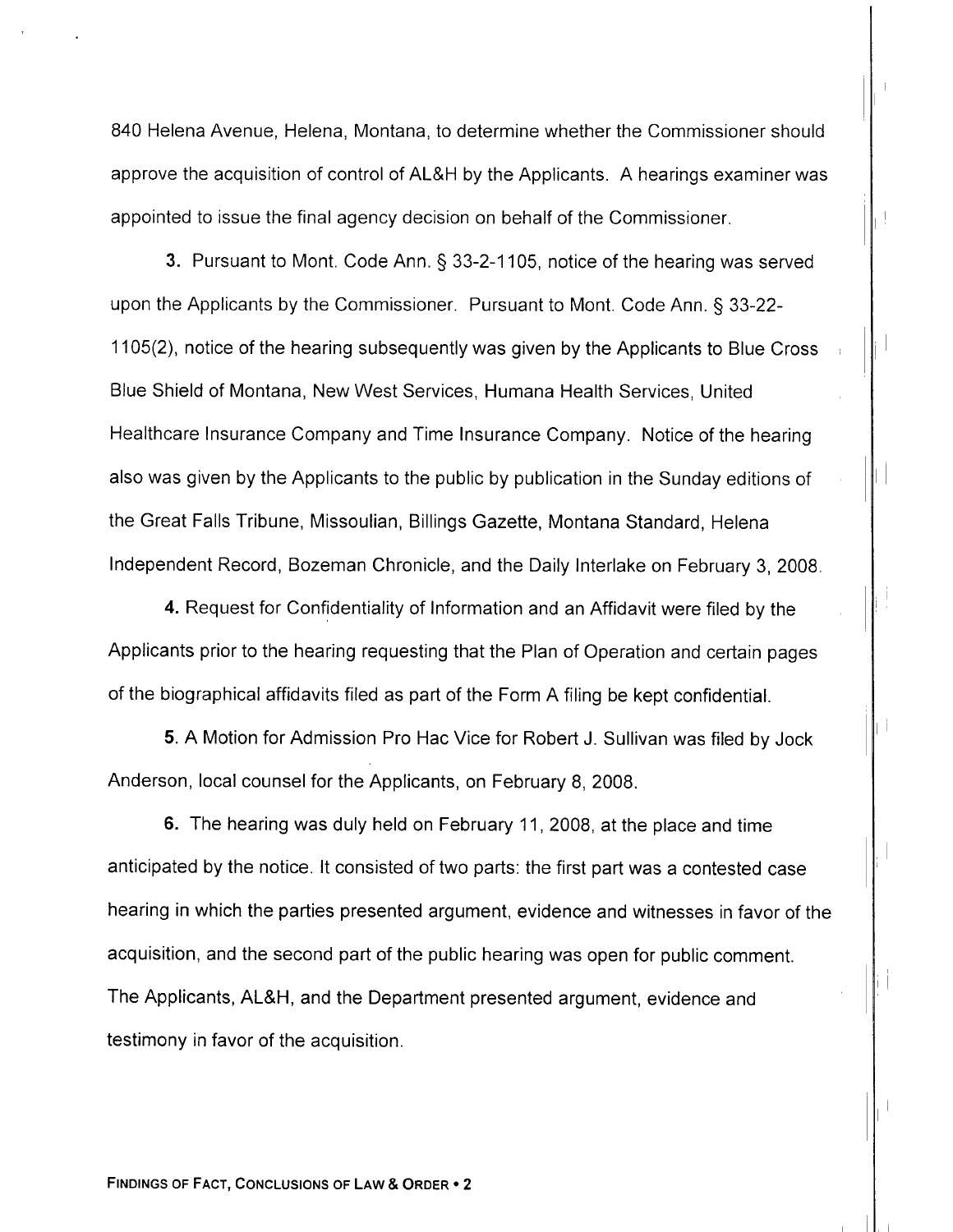840 Helena Avenue, Helena, Montana, to determine whether the Commissioner should approve the acquisition of control of AL&H by the Applicants. A hearings examiner was appointed to issue the final agency decision on behalf of the Commissioner.

**3.** Pursuant to Mont. Code Ann. § 33-2-1105, notice of the hearing was served upon the Applicants by the Commissioner. Pursuant to Mont. Code Ann. \$ 33-22- 1105(2), notice of the hearing subsequently was given by the Applicants to Blue Cross Blue Shield of Montana, New West Services, Humana Health Services, United Healthcare Insurance Company and Time Insurance Company. Notice of the hearing also was given by the Applicants to the public by publication in the Sunday editions of the Great Falls Tribune, Missoulian, Billings Gazette, Montana Standard, Helena Independent Record, Bozeman Chronicle, and the Daily Interlake on February 3, 2008.

4. Request for Confidentiality of Information and an Affidavit were filed by the Applicants prior to the hearing requesting that the Plan of Operation and certain pages of the biographical affidavits filed as part of the Form A filing be kept confidential.

5. A Motion for Admission Pro Hac Vice for Robert J. Sullivan was filed by Jock Anderson, local counsel for the Applicants, on February B, 2008.

6. The hearing was duly held on February 11 ,2008, at the place and time anticipated by the notice. lt consisted of two parts: the first part was a contested case hearing in which the parties presented argument, evidence and witnesses in favor of the acquisition, and the second part of the public hearing was open for public comment. The Applicants, AL&H, and the Department presented argument, evidence and testimony in favor of the acquisition.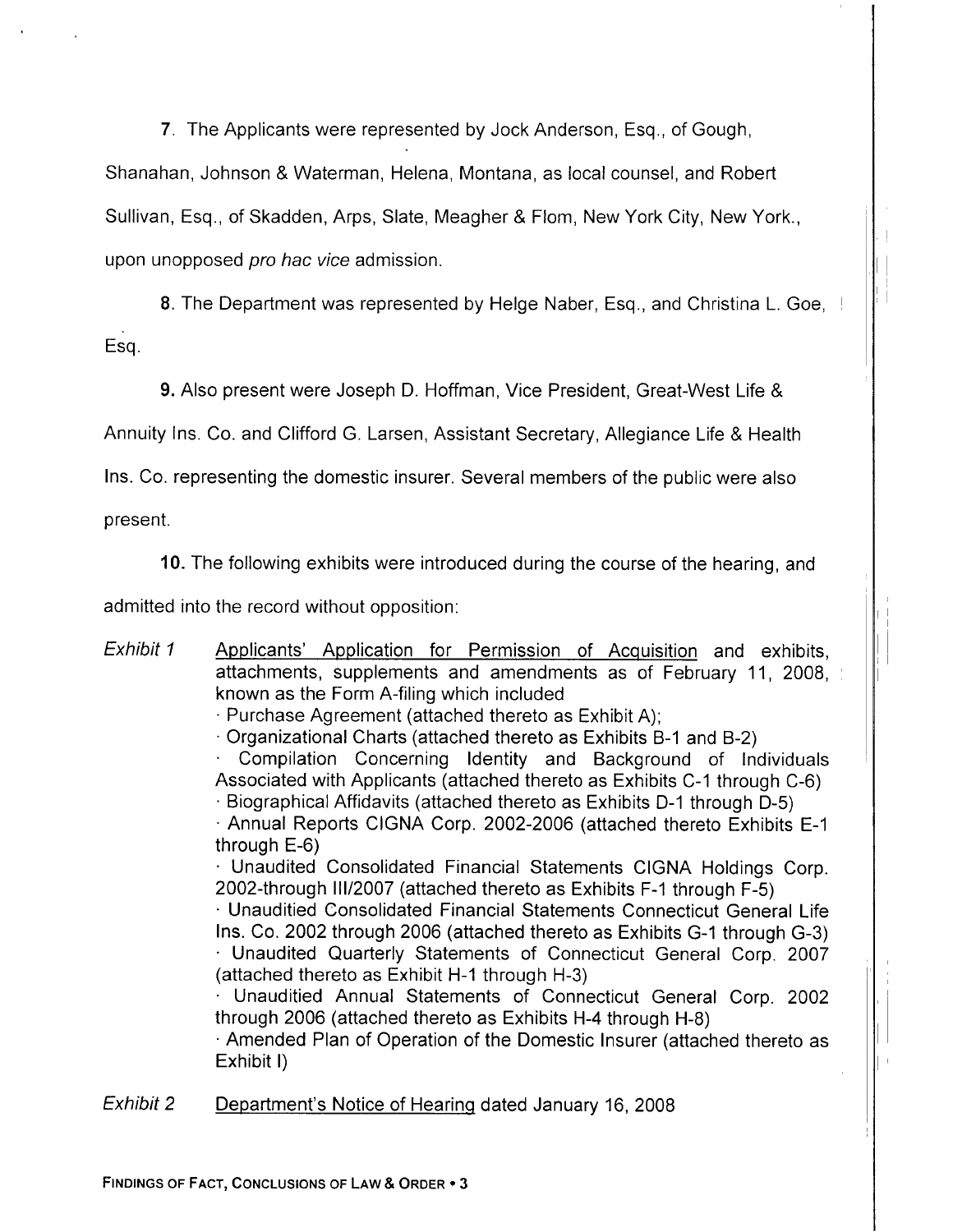7. The Applicants were represented by Jock Anderson, Esq., of Gough,

Shanahan, Johnson & Waterman, Helena, Montana, as local counsel, and Robert

Sullivan, Esq., of Skadden, Arps, Slate, Meagher & Flom, New York City, New York.,

upon unopposed pro hac yice admission.

8. The Department was represented by Helge Naber, Esq., and Christina L. Goe, Esq

9. Also present were Joseph D. Hoffman, Vice President, Great-West Life &

Annuity lns. Co. and Clifford G. Larsen, Assistant Secretary, Allegiance Life & Health

Ins. Co. representing the domestic insurer. Several members of the public were also

present.

10. The following exhibits were introduced during the course of the hearing, and

admitted into the record without opposition:

Exhibit 1 Applicants' Application for Permission of Acquisition and exhibits, attachments, supplements and amendments as of February 11, 2008, known as the Form A-filing which included ' Purchase Agreement (attached thereto as Exhibit A); ' Organizational Charts (attached thereto as Exhibits B-1 and B-2) ' Compilation Concerning ldentity and Background of lndividuals Associated with Applicants (attached thereto as Exhibits C-1 through C-6) Biographical Affidavits (attached thereto as Exhibits D-1 through D-5) ' Annual Reports CIGNA Corp. 2002-2006 (attached thereto Exhibits E-1 through E-6)<br>
• Unaudited Consolidated Financial Statements CIGNA Holdings Corp. 2002-through lll/2007 (attached thereto as Exhibits F-1 through F-5) ' Unauditied Consolidated Financial Statements Connecticut General Life Ins. Co. 2002 through 2006 (attached thereto as Exhibits G-1 through G-3) ' Unaudited Quarterly Statements of Connecticut General Corp. <sup>2007</sup> (attached thereto as Exhibit H-1 through H-3) ' Unauditied Annual Statements of Connecticut General Corp. <sup>2002</sup> through 2006 (attached thereto as Exhibits H-4 through H-8) ' Amended Plan of Operation of the Domestic Insurer (attached thereto as Exhibit l) Exhibit 2 Department's Notice of Hearinq dated January 16, 2008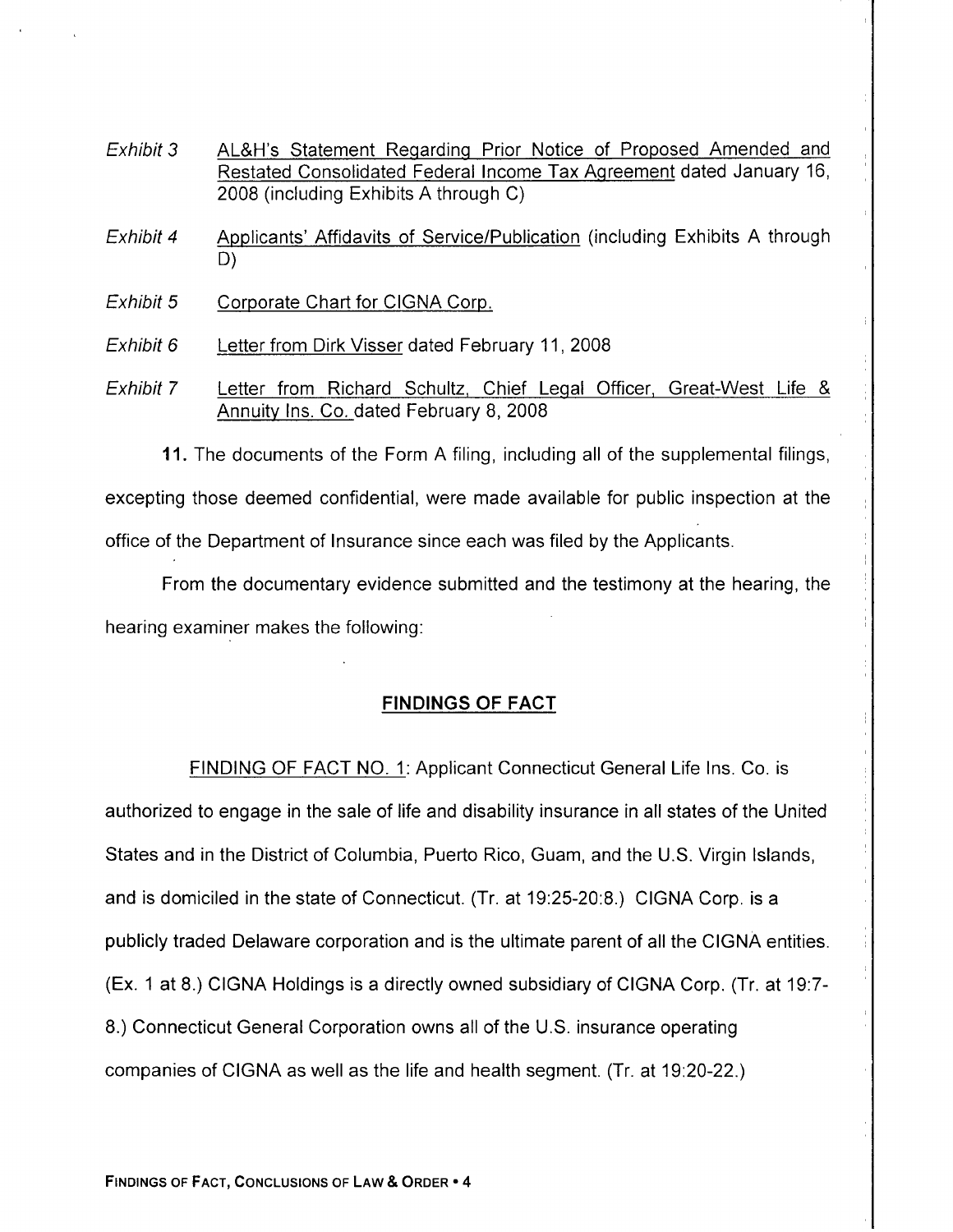- Exhibit 3 AL&H's Statement Regarding Prior Notice of Proposed Amended and Restated Consolidated Federal Income Tax Aqreement dated January 16, 2008 (including Exhibits A through C)
- Exhibit 4 Applicants' Affidavits of Service/Publication (including Exhibits A through D)
- Exhibit 5 Corporate Chart for CIGNA Corp.
- Exhibit 6 Letter from Dirk Visser dated February 11, 2008
- Exhibit 7 Letter from Richard Schultz, Chief Legal Officer, Great-West Life & Annuitv lns. Co. dated February B, 2008

11. The documents of the Form A filing, including all of the supplemental filings, excepting those deemed confidential, were made available for public inspection at the office of the Department of Insurance since each was filed by the Applicants.

From the documentary evidence submitted and the testimony at the hearing, the hearing examiner makes the following:

## FINDINGS OF FACT

FINDING OF FACT NO. 1:Applicant Connecticut General Life Ins. Co. is authorized to engage in the sale of life and disability insurance in all states of the United States and in the District of Columbia, Puerto Rico, Guam, and the U.S. Virgin lslands, and is domiciled in the state of Connecticut. (Tr. at 19:25-20:8.) CIGNA Corp. is a publicly traded Delaware corporation and is the ultimate parent of all the CIGNA entities. (Ex. 1 at 8.) CIGNA Holdings is a directly owned subsidiary of CIGNA Corp. (Tr. at 197- 8.) Connecticut General Corporation owns all of the U.S. insurance operating companies of CIGNA as well as the life and health segment. (Tr. at 19'.20-22.)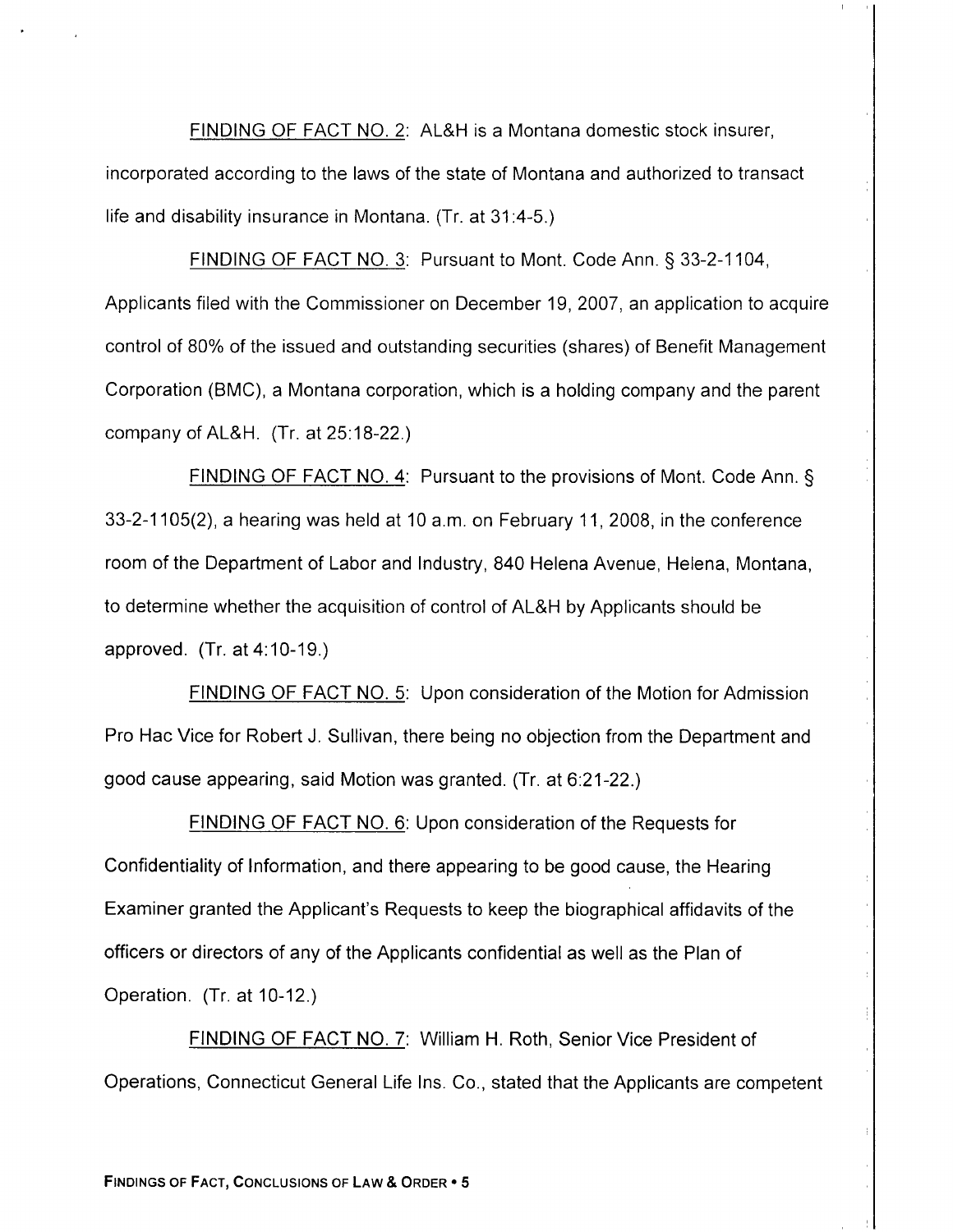FINDING OF FACT NO. 2: AL&H is a Montana domestic stock insurer, incorporated according to the laws of the state of Montana and authorized to transact life and disability insurance in Montana. (Tr. at 31:4-5.)

FINDING OF FACT NO. 3: Pursuant to Mont. Code Ann. § 33-2-1104, Applicants filed with the Commissioner on December 19, 2007, an application to acquire control of B0% of the issued and outstanding securities (shares) of Benefit Management Corporation (BMC), a Montana corporation, which is a holding company and the parent company of AL&H.  $(Tr. at 25:18-22.)$ 

FINDING OF FACT NO. 4: Pursuant to the provisions of Mont. Code Ann. § 33-2-1105(2), a hearing was held at 10 a.m. on February 11,2008, in the conference room of the Department of Labor and Industry, 840 Helena Avenue, Helena, Montana, to determine whether the acquisition of control of AL&H by Applicants should be approved. (Tr. at 4:10-19.)

FINDING OF FACT NO. 5: Upon consideration of the Motion for Admission Pro Hac Vice for Robert J. Sullivan, there being no objection from the Department and good cause appearing, said Motion was granted. (Tr. at 6:21-22.)

FINDING OF FACT NO. 6: Upon consideration of the Requests for Confidentiality of lnformation, and there appearing to be good cause, the Hearing Examiner granted the Applicant's Requests to keep the biographical affidavits of the officers or directors of any of the Applicants confidential as well as the Plan of Operation. (Tr. at 10-12.)

FINDING OF FACT NO. 7: William H. Roth, Senior Vice President of Operations, Connecticut General Life Ins. Co., stated that the Applicants are competent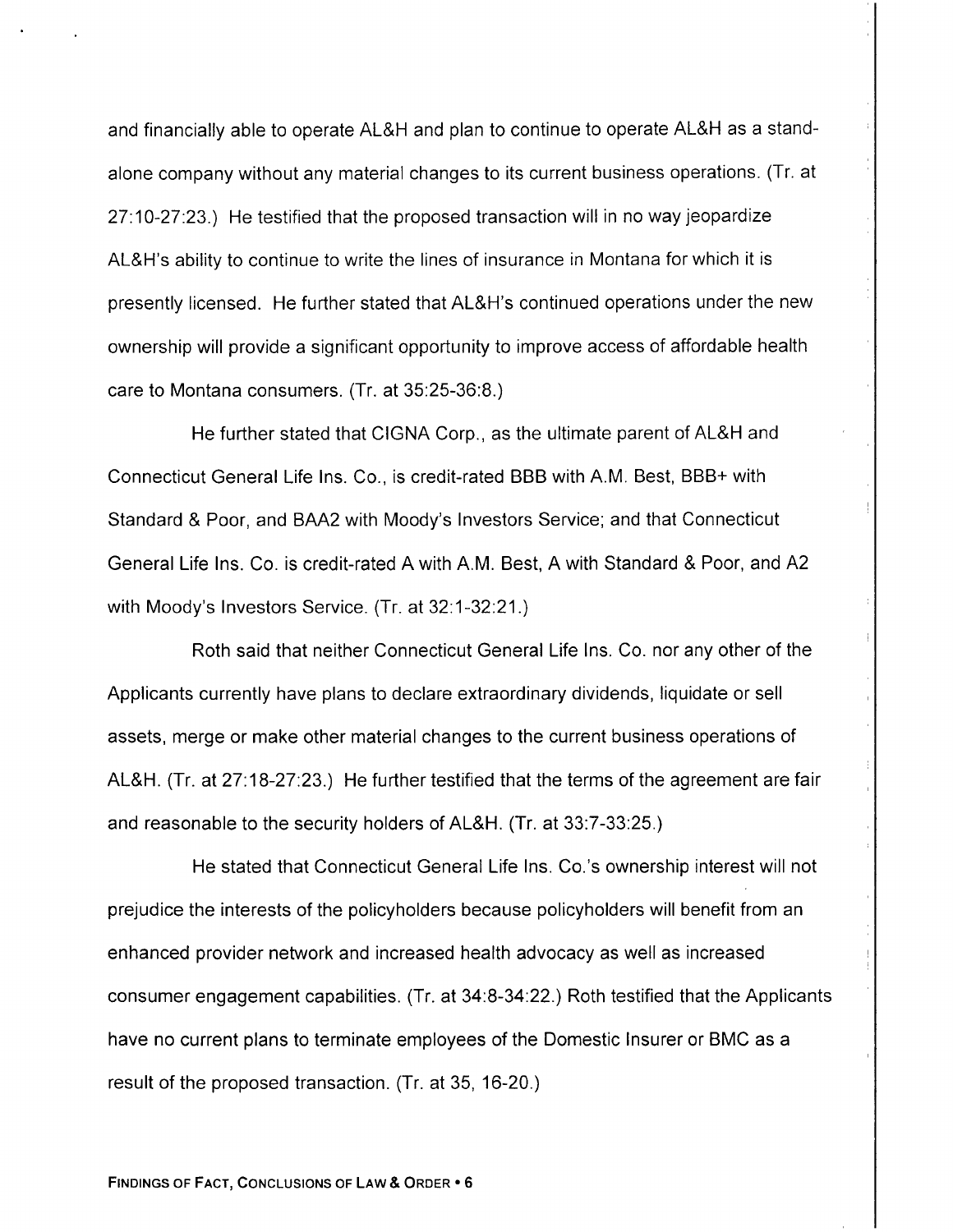and financially able to operate AL&H and plan to continue to operate AL&H as a standalone company without any material changes to its current business operations. (Tr. at 27.10-27:23.) He testified that the proposed transaction will in no way jeopardize AL&H's ability to continue to write the lines of insurance in Montana for which it is presently licensed. He further stated that AL&H's continued operations under the new ownership will provide a significant opportunity to improve access of affordable health care to Montana consumers. (Tr. at 35:25-36:8.)

He further stated that CIGNA Corp., as the ultimate parent of AL&H and Connecticut General Life Ins. Co., is credit-rated BBB with A.M. Best, BBB+ with Standard & Poor, and BAA2 with Moody's Investors Service; and that Connecticut General Life Ins. Co. is credit-rated A with A.M. Best, A with Standard & Poor, and A2 with Moody's Investors Service. (Tr. at 32:1-32:21.)

Roth said that neither Connecticut General Life lns. Co. nor any other of the Applicants currently have plans to declare extraordinary dividends, liquidate or sell assets, merge or make other material changes to the current business operations of AL&H. (Tr. at 27'.18-27:23.) He further testified that the terms of the agreement are fair and reasonable to the security holders of AL&H. (Tr. at 33:7-33:25.)

He stated that Connecticut General Life Ins. Co.'s ownership interest will not prejudice the interests of the policyholders because policyholders will benefit from an enhanced provider network and increased health advocacy as well as increased consumer engagement capabilities. (Tr. at 34:8-34:22.) Roth testified that the Applicants have no current plans to terminate employees of the Domestic Insurer or BMC as a result of the proposed transaction. (Tr. at 35, 16-20.)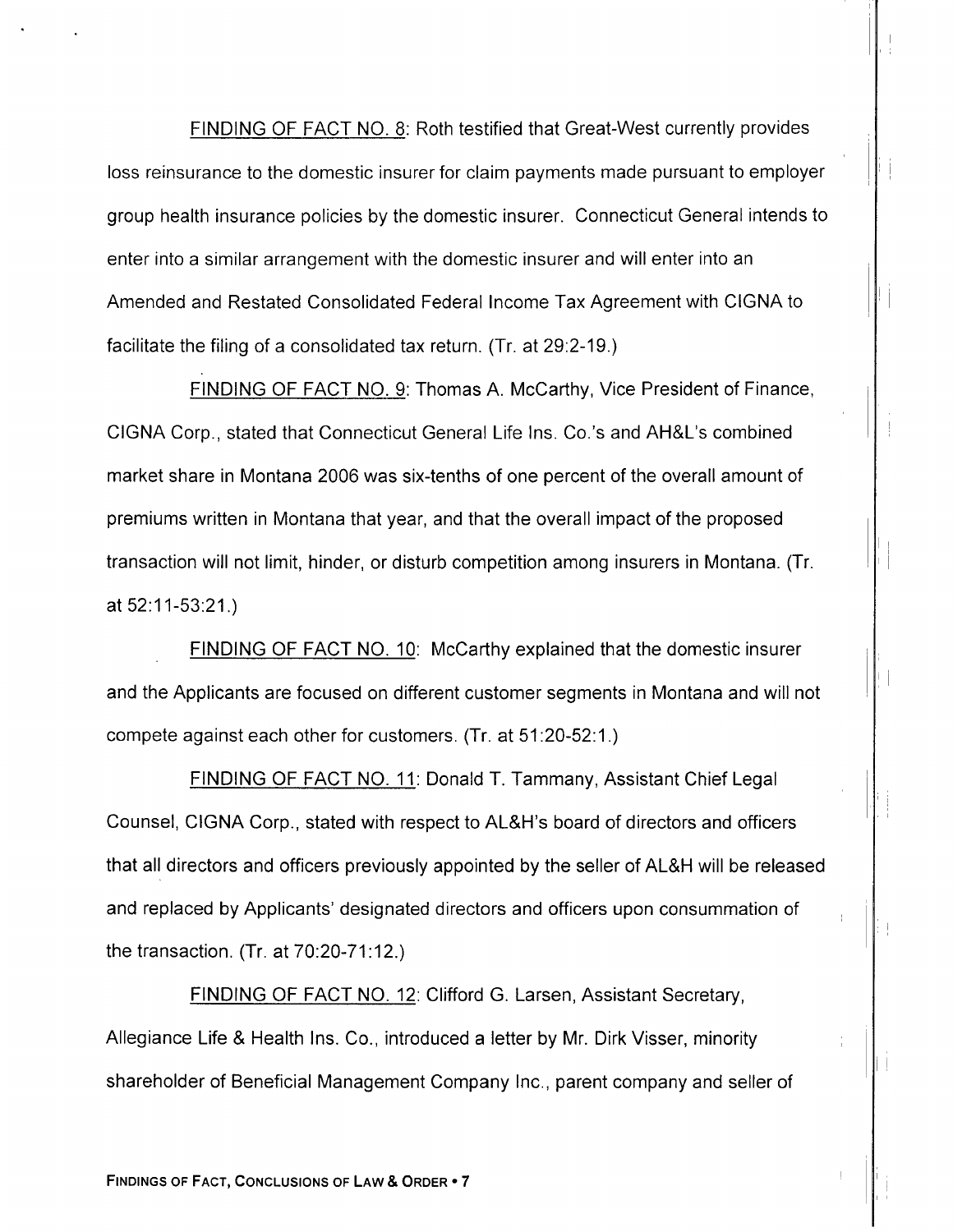FINDING OF FACT NO. 8: Roth testified that Great-West currently provides loss reinsurance to the domestic insurer for claim payments made pursuant to employer group health insurance policies by the domestic insurer. Connecticut General intends to enter into a similar arrangement with the domestic insurer and will enter into an Amended and Restated Consolidated Federal Income Tax Agreement with CIGNA to facilitate the filing of a consolidated tax return. (Tr. at 29:2-19.)

FINDING OF FACT NO. 9: Thomas A. McCarthy, Vice President of Finance, CIGNA Corp., stated that Connecticut General Life Ins. Co.'s and AH&L's combined market share in Montana 2006 was six-tenths of one percent of the overall amount of premiums written in Montana that year, and that the overall impact of the proposed transaction will not limit, hinder, or disturb competition among insurers in Montana. (Tr. at 52:11-53:21.)

FINDING OF FACT NO. 10: McCarthy explained that the domestic insurer and the Applicants are focused on different customer segments in Montana and will not compete against each other for customers. (Tr. at 51:20-52:1.)

FINDING OF FACT NO. 11: Donald T. Tammany, Assistant Chief Legal Counsel, CIGNA Corp., stated with respect to AL&H's board of directors and officers that all directors and officers previously appointed by the seller of AL&H will be released and replaced by Applicants' designated directors and officers upon consummation of the transaction. (Tr. at 70:20-71:12.)

FINDING OF FACT NO. 12: Clifford G. Larsen, Assistant Secretary, Allegiance Life & Health Ins. Co., introduced a letter by Mr. Dirk Visser, minority shareholder of Beneficial Management Company Inc., parent company and seller of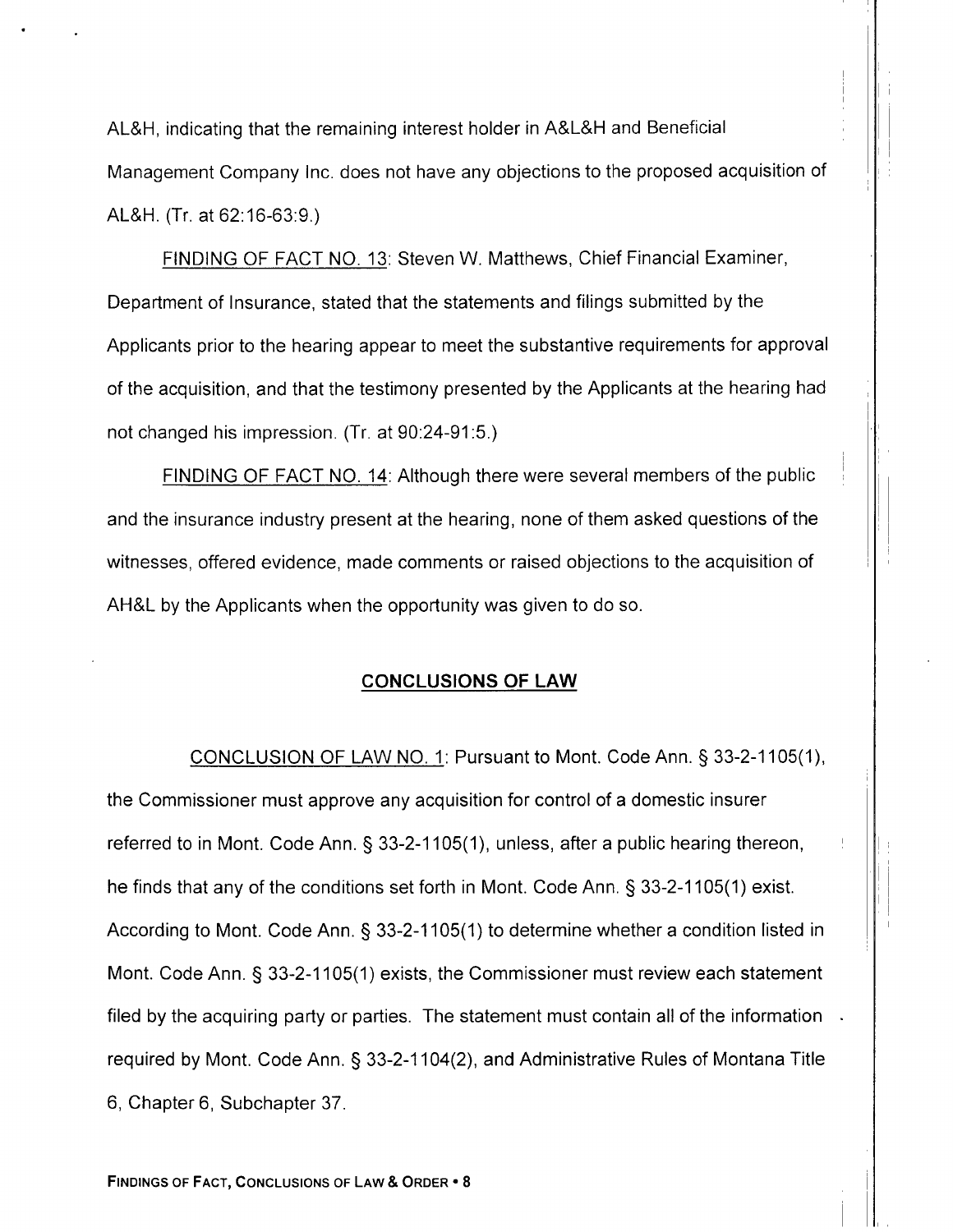AL&H, indicating that the remaining interest holder in A&L&H and Beneficial Management Company Inc. does not have any objections to the proposed acquisition of AL&H. (Tr. at 62:16-63:9.)

FINDING OF FACT NO. 13: Steven W. Matthews, Chief Financial Examiner, Department of Insurance, stated that the statements and filings submitted by the Applicants prior to the hearing appear to meet the substantive requirements for approval of the acquisition, and that the testimony presented by the Applicants at the hearing had not changed his impression. (Tr. at 90:24-91:5.)

FINDING OF FACT NO. 14: Although there were several members of the public and the insurance industry present at the hearing, none of them asked questions of the witnesses, offered evidence, made comments or raised objections to the acquisition of AH&L by the Applicants when the opportunity was given to do so.

### CONCLUSIONS OF LAW

CONCLUSION OF LAW NO. 1: Pursuant to Mont. Code Ann. § 33-2-1105(1), the Commissioner must approve any acquisition for control of a domestic insurer referred to in Mont. Code Ann. § 33-2-1105(1), unless, after a public hearing thereon, he finds that any of the conditions set forth in Mont. Code Ann. § 33-2-1105(1) exist. According to Mont. Code Ann.  $\S$  33-2-1105(1) to determine whether a condition listed in Mont. Code Ann. § 33-2-1105(1) exists, the Commissioner must review each statement filed by the acquiring party or parties. The statement must contain all of the information required by Mont. Code Ann. § 33-2-1104(2), and Administrative Rules of Montana Title 6, Chapter 6, Subchapter 37.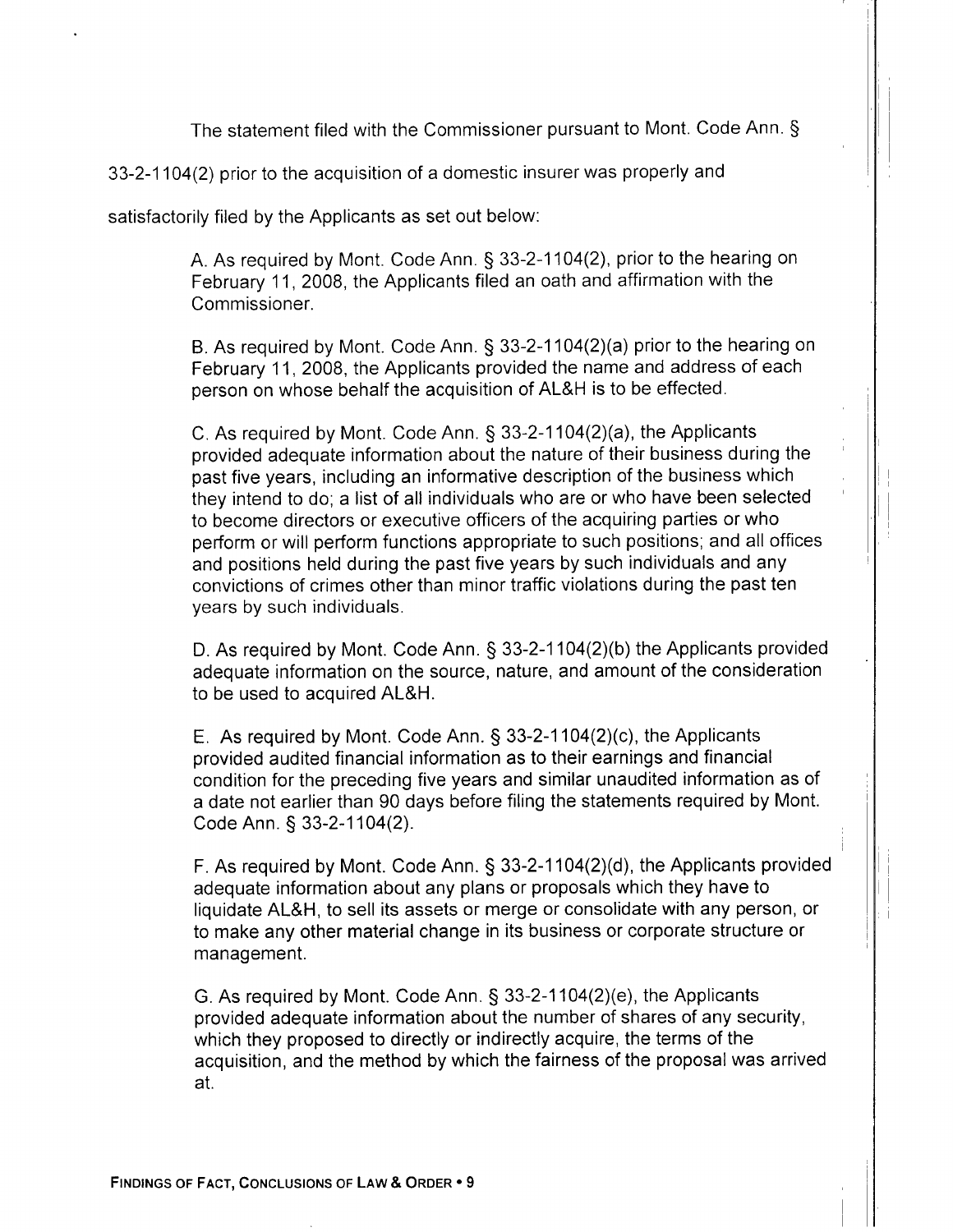The statement filed with the Commissioner pursuant to Mont. Code Ann. \$

33-2-1104(2) prior to the acquisition of a domestic insurer was properly and

satisfactorily filed by the Applicants as set out below:

A. As required by Mont. Code Ann. § 33-2-1104(2), prior to the hearing on February 11,2008, the Applicants filed an oath and affirmation with the Commissioner.

B. As required by Mont. Code Ann. § 33-2-1104(2)(a) prior to the hearing on February 11, 2008, the Applicants provided the name and address of each person on whose behalf the acquisition of AL&H is to be effected.

C. As required by Mont. Code Ann.  $\S$  33-2-1104(2)(a), the Applicants provided adequate information about the nature of their business during the past five years, including an informative description of the business which they intend to do; a list of all individuals who are or who have been selected to become directors or executive officers of the acquiring parties or who perform or will perform functions appropriate to such positions; and all offices and positions held during the past five years by such individuals and any convictions of crimes other than minor traffic violations during the past ten years by such individuals.

D. As required by Mont. Code Ann.  $\S$  33-2-1104(2)(b) the Applicants provided adequate information on the source, nature, and amount of the consideration to be used to acquired AL&H.

E. As required by Mont. Code Ann.  $\S$  33-2-1104(2)(c), the Applicants provided audited financial information as to their earnings and financial condition for the preceding five years and similar unaudited information as of a date not earlier than 90 days before filing the statements required by Mont. Code Ann. \$ 33-2-1104(2).

F. As required by Mont. Code Ann.  $\S$  33-2-1104(2)(d), the Applicants provided adequate information about any plans or proposals which they have to liquidate AL&H, to sell its assets or merge or consolidate with any person, or to make any other material change in its business or corporate structure or management.

G. As required by Mont. Code Ann. \$ 33-2-1104(2)(e), the Applicants provided adequate information about the number of shares of any security, which they proposed to directly or indirectly acquire, the terms of the acquisition, and the method by which the fairness of the proposal was arrived at.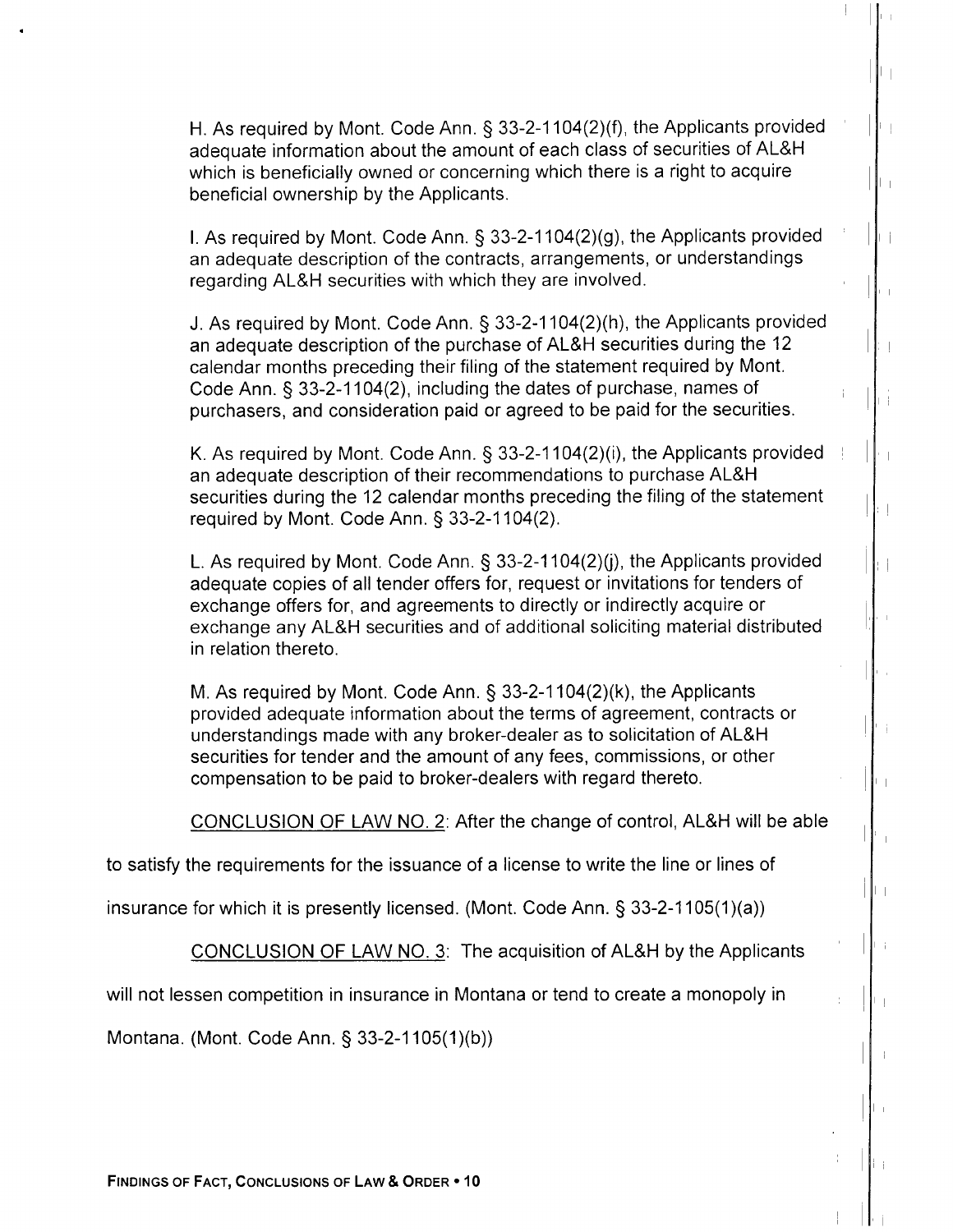H. As required by Mont. Code Ann. § 33-2-1104(2)(f), the Applicants provided adequate information about the amount of each class of securities of AL&H which is beneficially owned or concerning which there is a right to acquire beneficial ownership by the Applicants.

I. As required by Mont. Code Ann.  $\S$  33-2-1104(2)(g), the Applicants provided an adequate description of the contracts, arrangements, or understandings regarding AL&H securities with which they are involved.

J. As required by Mont. Code Ann. § 33-2-1104(2)(h), the Applicants provided an adequate description of the purchase of AL&H securities during the 12 calendar months preceding their filing of the statement required by Mont. Code Ann. \$ 33-2-1104(2), including the dates of purchase, names of purchasers, and consideration paid or agreed to be paid for the securities.

K. As required by Mont. Code Ann. \$ 33-2-1104(2)(i), the Applicants provided an adequate description of their recommendations to purchase AL&H securities during the 12 calendar months preceding the filing of the statement required by Mont. Code Ann. § 33-2-1104(2).

L. As required by Mont. Code Ann.  $\S$  33-2-1104(2)(i), the Applicants provided adequate copies of all tender offers for, request or invitations for tenders of exchange offers for, and agreements to directly or indirectly acquire or exchange any AL&H securities and of additional soliciting material distributed in relation thereto.

M. As required by Mont. Code Ann.  $\S$  33-2-1104(2)(k), the Applicants provided adequate information about the terms of agreement, contracts or understandings made with any broker-dealer as to solicitation of AL&H securities for tender and the amount of any fees, commissions, or other compensation to be paid to broker-dealers with regard thereto.

CONCLUSION OF LAW NO. 2: After the change of control, AL&H will be able

to satisfy the requirements for the issuance of a license to write the line or lines of

insurance for which it is presently licensed. (Mont. Code Ann.  $\S$  33-2-1105(1)(a))

CONCLUSION OF LAW NO. 3: The acquisition of AL&H by the Applicants

will not lessen competition in insurance in Montana or tend to create a monopoly in

Montana. (Mont. Code Ann. § 33-2-1105(1)(b))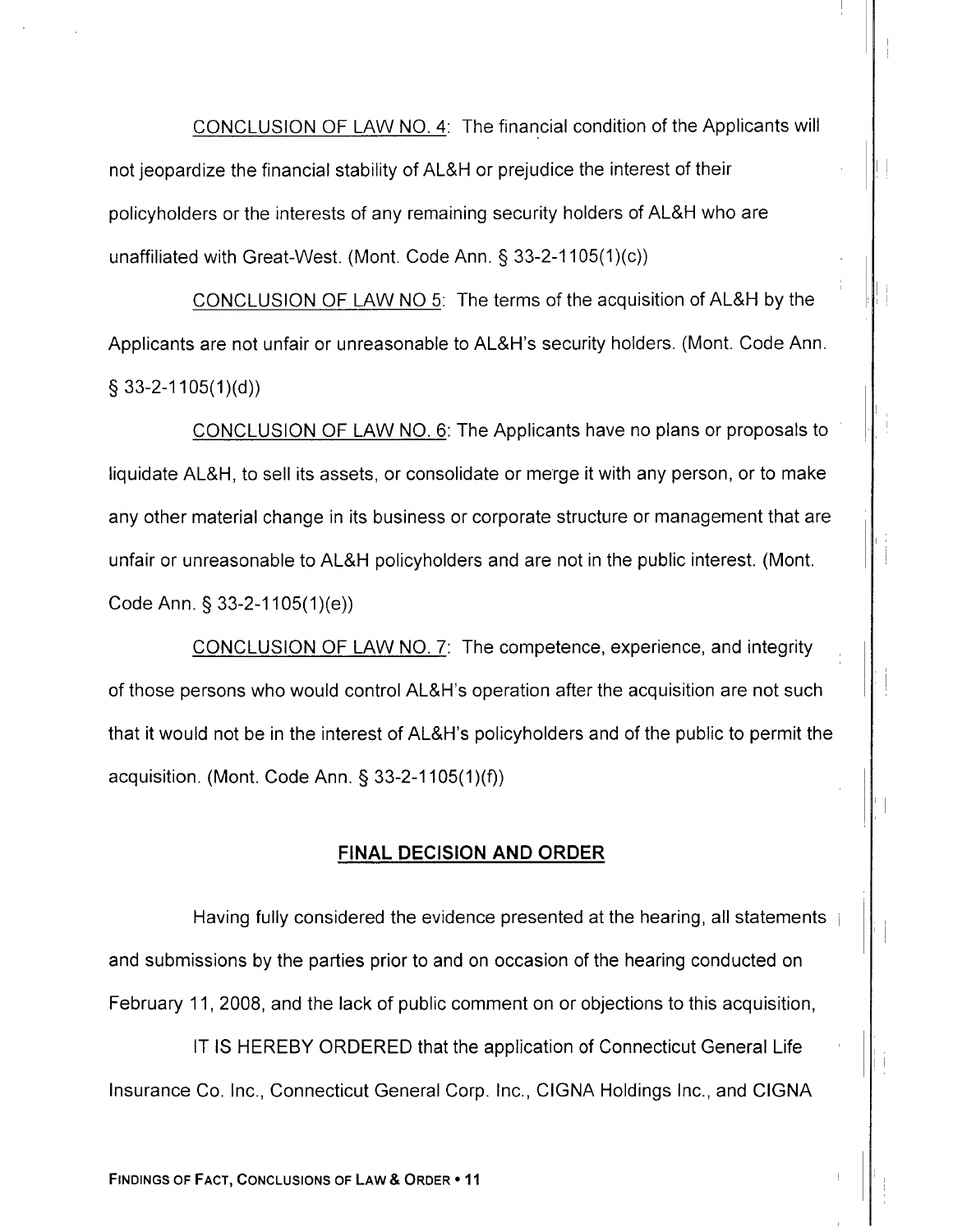CONCLUSION OF LAW NO. 4: The financial condition of the Applicants will not jeopardize the financial stability of AL&H or prejudice the interest of their policyholders or the interests of any remaining security holders of AL&H who are unaffiliated with Great-West. (Mont. Code Ann.  $\S$  33-2-1105(1)(c))

CONCLUSION OF LAW NO 5. The terms of the acquisition of AL&H by the Applicants are not unfair or unreasonable to AL&H's security holders. (Mont. Code Ann.  $\S$  33-2-1105(1)(d))

CONCLUSION OF LAW NO. 6: The Applicants have no plans or proposals to liquidate AL&H, to sell its assets, or consolidate or merge it with any person, or to make any other material change in its business or corporate structure or management that are unfair or unreasonable to AL&H policyholders and are not in the public interest. (Mont. Code Ann. \$ 33-2-1105(1)(e))

CONCLUSION OF LAW NO. 7: The competence, experience, and integrity of those persons who would control AL&H's operation after the acquisition are not such that it would not be in the interest of AL&H's policyholders and of the public to permit the acquisition. (Mont. Code Ann.  $\S$  33-2-1105(1)(f))

### FINAL DECISION AND ORDER

Having fully considered the evidence presented at the hearing, all statements and submissions by the parties prior to and on occasion of the hearing conducted on February 11, 2008, and the lack of public comment on or objections to this acquisition,

lT lS HEREBY ORDERED that the application of Connecticut General Life Insurance Co. Inc., Connecticut General Corp. Inc., CIGNA Holdings Inc., and CIGNA